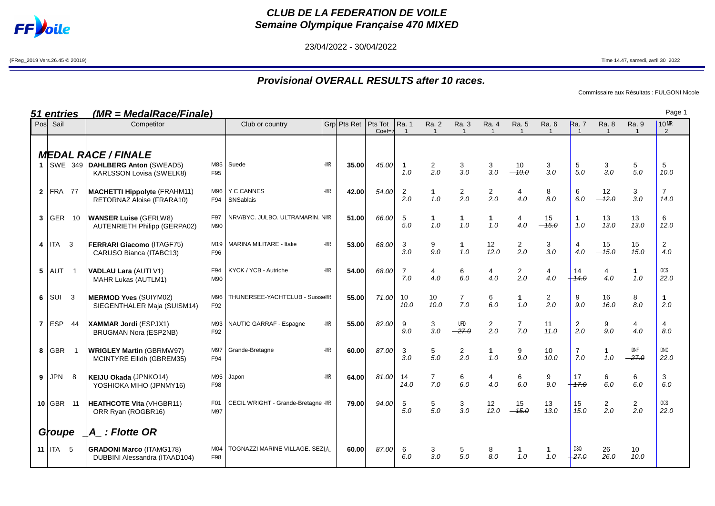

## **CLUB DE LA FEDERATION DE VOILE Semaine Olympique Française 470 MIXED**

23/04/2022 - 30/04/2022

(FReg\_2019 Vers.26.45 © 20019) Time 14.47, samedi, avril 30 2022

## **Provisional OVERALL RESULTS after 10 races.**

Commissaire aux Résultats : FULGONI Nicole

| (MR = MedalRace/Finale)<br><u>51 entries</u> |                  |        |                                                                                                 |            |                                    |     |             |                                 |                         |                         |                                         |                         |                       | Page 1                  |                                |                         |                       |                        |
|----------------------------------------------|------------------|--------|-------------------------------------------------------------------------------------------------|------------|------------------------------------|-----|-------------|---------------------------------|-------------------------|-------------------------|-----------------------------------------|-------------------------|-----------------------|-------------------------|--------------------------------|-------------------------|-----------------------|------------------------|
|                                              | Pos Sail         |        | Competitor                                                                                      |            | Club or country                    |     | Grp Pts Ret | Pts Tot<br>$Coef = \frac{1}{2}$ | Ra. 1<br>$\overline{1}$ | Ra. 2<br>$\overline{1}$ | Ra. 3<br>$\overline{1}$                 | Ra. 4<br>$\overline{1}$ | Ra. 5                 | Ra. 6<br>$\overline{1}$ | <b>Ra.</b> 7<br>$\overline{1}$ | Ra. 8<br>$\overline{1}$ | Ra. 9<br>$\mathbf{1}$ | 10 MR<br>2             |
|                                              |                  |        | <b>MEDAL RACE / FINALE</b><br>1   SWE 349   DAHLBERG Anton (SWEAD5)<br>KARLSSON Lovisa (SWELK8) | M85<br>F95 | Suede                              | -MR | 35.00       | 45.00                           | $\mathbf{1}$<br>1.0     | $\overline{2}$<br>2.0   | $\begin{array}{c} 3 \\ 3.0 \end{array}$ | 3<br>3.0                | 10<br>10.0            | 3<br>3.0                | 5<br>5.0                       | 3<br>3.0                | 5<br>5.0              | 5<br>10.0              |
|                                              | $2$ FRA 77       |        | <b>MACHETTI Hippolyte (FRAHM11)</b><br>RETORNAZ Aloise (FRARA10)                                | M96<br>F94 | <b>Y C CANNES</b><br>SNSablais     | -MR | 42.00       | 54.00                           | 2<br>2.0                | 1.<br>1.0               | 2<br>2.0                                | $\overline{a}$<br>2.0   | 4<br>4.0              | 8<br>8.0                | 6<br>6.0                       | 12<br>$-12.0$           | 3<br>3.0              | $\overline{7}$<br>14.0 |
| 3 <sup>1</sup>                               | GER 10           |        | <b>WANSER Luise (GERLW8)</b><br><b>AUTENRIETH Philipp (GERPA02)</b>                             | F97<br>M90 | NRV/BYC. JULBO. ULTRAMARIN. NMR    |     | 51.00       | 66.00                           | 5<br>5.0                | 1<br>1.0                | $\mathbf{1}$<br>1.0                     | $\mathbf{1}$<br>1.0     | 4<br>4.0              | 15<br>$-15.0$           | $\mathbf{1}$<br>1.0            | 13<br>13.0              | 13<br>13.0            | 6<br>12.0              |
| 4                                            | ITA <sub>3</sub> |        | FERRARI Giacomo (ITAGF75)<br>CARUSO Bianca (ITABC13)                                            | M19<br>F96 | <b>MARINA MILITARE - Italie</b>    | -MR | 53.00       | 68.00                           | 3<br>3.0                | 9<br>9.0                | $\mathbf 1$<br>1.0                      | 12<br>12.0              | $\overline{a}$<br>2.0 | 3<br>3.0                | 4<br>4.0                       | 15<br>$-15.0$           | 15<br>15.0            | $\overline{a}$<br>4.0  |
| 5                                            | $ $ AUT 1        |        | <b>VADLAU Lara (AUTLV1)</b><br>MAHR Lukas (AUTLM1)                                              | F94<br>M90 | KYCK / YCB - Autriche              | -MR | 54.00       | 68.00                           | 7<br>7.0                | 4<br>4.0                | 6<br>6.0                                | 4<br>4.0                | $\overline{a}$<br>2.0 | 4<br>4.0                | 14<br>14.0                     | 4<br>4.0                | $\mathbf{1}$<br>1.0   | $_{\rm OCS}$<br>22.0   |
| 6                                            | l sui            | $_{3}$ | <b>MERMOD Yves (SUIYM02)</b><br>SIEGENTHALER Maja (SUISM14)                                     | M96<br>F92 | THUNERSEE-YACHTCLUB - SuisseMR     |     | 55.00       | 71.00                           | 10<br>10.0              | 10<br>10.0              | $\overline{7}$<br>7.0                   | 6<br>6.0                | 1<br>1.0              | $\overline{2}$<br>2.0   | 9<br>9.0                       | 16<br>$-16.0$           | 8<br>8.0              | $\mathbf{1}$<br>2.0    |
|                                              | $7$ ESP          | 44     | <b>XAMMAR Jordi (ESPJX1)</b><br><b>BRUGMAN Nora (ESP2NB)</b>                                    | M93<br>F92 | NAUTIC GARRAF - Espagne            | -MR | 55.00       | 82.00                           | 9<br>9.0                | 3<br>3.0                | UFD<br>$-27.0$                          | $\overline{2}$<br>2.0   | $\overline{7}$<br>7.0 | 11<br>11.0              | $\mathbf{2}$<br>2.0            | 9<br>9.0                | 4<br>4.0              | 4<br>8.0               |
| 8                                            | GBR              |        | <b>WRIGLEY Martin (GBRMW97)</b><br>MCINTYRE Eilidh (GBREM35)                                    | M97<br>F94 | Grande-Bretagne                    | -MR | 60.00       | 87.00                           | 3<br>3.0                | 5<br>5.0                | 2<br>2.0                                | $\mathbf{1}$<br>1.0     | 9<br>9.0              | 10<br>10.0              | $\overline{7}$<br>7.0          | 1<br>1.0                | DNF<br>$-27.0$        | DNC<br>22.0            |
| 9                                            | <b>JPN</b>       | 8      | KEIJU Okada (JPNKO14)<br>YOSHIOKA MIHO (JPNMY16)                                                | M95<br>F98 | Japon                              | -MR | 64.00       | 81.00                           | 14<br>14.0              | $\overline{7}$<br>7.0   | 6<br>6.0                                | $\overline{4}$<br>4.0   | 6<br>6.0              | 9<br>9.0                | 17<br>$-17.0$                  | 6<br>6.0                | 6<br>6.0              | 3<br>6.0               |
|                                              | $10$ GBR 11      |        | <b>HEATHCOTE Vita (VHGBR11)</b><br>ORR Ryan (ROGBR16)                                           | F01<br>M97 | CECIL WRIGHT - Grande-Bretagne -MR |     | 79.00       | 94.00                           | 5<br>5.0                | 5<br>5.0                | 3<br>3.0                                | 12<br>12.0              | 15<br>$-45.0$         | 13<br>13.0              | 15<br>15.0                     | $\overline{2}$<br>2.0   | $\mathbf{2}$<br>2.0   | <b>OCS</b><br>22.0     |
|                                              | Groupe           |        | A : Flotte OR                                                                                   |            |                                    |     |             |                                 |                         |                         |                                         |                         |                       |                         |                                |                         |                       |                        |
|                                              | 11 $ITA$ 5       |        | <b>GRADONI Marco (ITAMG178)</b><br>DUBBINI Alessandra (ITAAD104)                                | M04<br>F98 | TOGNAZZI MARINE VILLAGE. SEZI A    |     | 60.00       | 87.00                           | 6<br>6.0                | 3<br>3.0                | 5<br>5.0                                | 8<br>8.0                | 1.0                   | 1.0                     | <b>DSQ</b><br>$-27.0$          | 26<br>26.0              | 10<br>10.0            |                        |

Page 1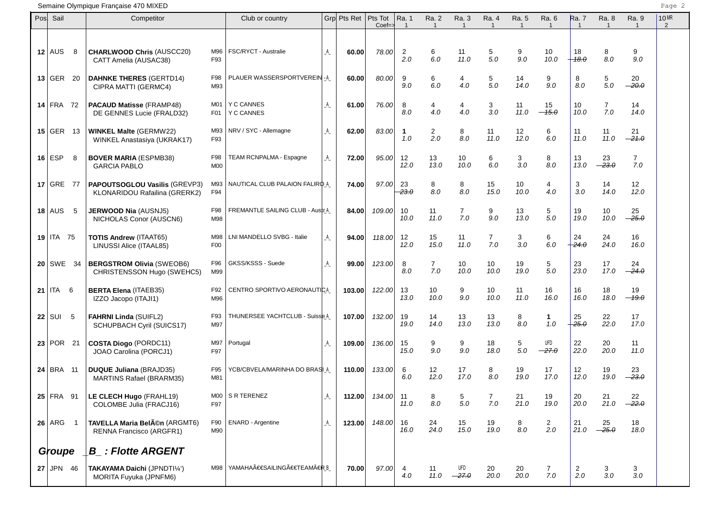## Semaine Olympique Française 470 MIXED Page 2

| Pos | Sail          |                | Competitor                                                            |                         | Club or country                  |   | Grp Pts Ret | Pts Tot<br>$Coef = \star$ | Ra. 1<br>$\overline{1}$   | Ra. 2<br>$\mathbf{1}$ | Ra. 3<br>$\mathbf{1}$ | Ra. 4<br>$\mathbf{1}$ | Ra. 5<br>$\mathbf{1}$ | Ra. 6<br>$\mathbf{1}$   | <b>Ra.</b> 7<br>$\overline{1}$ | Ra. 8<br>$\mathbf{1}$ | Ra. 9<br>$\mathbf{1}$   | 10 MR<br>$\overline{2}$ |
|-----|---------------|----------------|-----------------------------------------------------------------------|-------------------------|----------------------------------|---|-------------|---------------------------|---------------------------|-----------------------|-----------------------|-----------------------|-----------------------|-------------------------|--------------------------------|-----------------------|-------------------------|-------------------------|
|     | $12$ AUS      | 8              | <b>CHARLWOOD Chris (AUSCC20)</b><br>CATT Amelia (AUSAC38)             | M96<br>F93              | FSC/RYCT - Australie             | A | 60.00       | 78.00                     | $\overline{2}$<br>2.0     | 6<br>6.0              | 11<br>11.0            | 5<br>5.0              | 9<br>9.0              | 10<br>10.0              | 18<br>$-18.0$                  | 8<br>8.0              | 9<br>9.0                |                         |
|     | $13$ GER      | 20             | <b>DAHNKE THERES (GERTD14)</b><br>CIPRA MATTI (GERMC4)                | F98<br>M93              | PLAUER WASSERSPORTVEREIN-A       |   | 60.00       | 80.00                     | 9<br>9.0                  | 6<br>6.0              | 4<br>4.0              | 5<br>5.0              | 14<br>14.0            | 9<br>9.0                | 8<br>8.0                       | 5<br>5.0              | 20<br>$-20.0$           |                         |
|     | 14 FRA 72     |                | <b>PACAUD Matisse (FRAMP48)</b><br>DE GENNES Lucie (FRALD32)          | M01<br>F <sub>0</sub> 1 | <b>Y C CANNES</b><br>Y C CANNES  | A | 61.00       | 76.00                     | 8<br>8.0                  | 4<br>4.0              | 4<br>4.0              | 3<br>3.0              | 11<br>11.0            | 15<br>$-45.0$           | 10<br>10.0                     | 7<br>7.0              | 14<br>14.0              |                         |
|     | $15 \mid$ GER | 13             | <b>WINKEL Malte (GERMW22)</b><br>WINKEL Anastasiya (UKRAK17)          | M93<br>F93              | NRV / SYC - Allemagne            | A | 62.00       | 83.00                     | $\mathbf{1}$<br>1.0       | $\overline{c}$<br>2.0 | 8<br>8.0              | 11<br>11.0            | 12<br>12.0            | 6<br>6.0                | 11<br>11.0                     | 11<br>11.0            | 21<br>$-21.0$           |                         |
|     | $16$ ESP      | 8              | <b>BOVER MARIA (ESPMB38)</b><br><b>GARCIA PABLO</b>                   | F98<br>M <sub>0</sub>   | TEAM RCNPALMA - Espagne          | A | 72.00       | 95.00                     | $12 \overline{ }$<br>12.0 | 13<br>13.0            | 10<br>10.0            | 6<br>6.0              | 3<br>3.0              | 8<br>8.0                | 13<br>13.0                     | 23<br>$-23.0$         | $\overline{7}$<br>7.0   |                         |
|     | $17$ GRE      | - 77           | <b>PAPOUTSOGLOU Vasilis (GREVP3)</b><br>KLONARIDOU Rafailina (GRERK2) | M93<br>F94              | NAUTICAL CLUB PALAION FALIRO A   |   | 74.00       | 97.00                     | 23<br>$-23.0$             | 8<br>8.0              | 8<br>8.0              | 15<br>15.0            | 10<br>10.0            | 4<br>4.0                | 3<br>3.0                       | 14<br>14.0            | 12<br>12.0              |                         |
|     | $18$ AUS      | 5              | <b>JERWOOD Nia (AUSNJ5)</b><br>NICHOLAS Conor (AUSCN6)                | F98<br>M98              | FREMANTLE SAILING CLUB - Austr A |   | 84.00       | 109.00                    | 10<br>10.0                | 11<br>11.0            | $\overline{7}$<br>7.0 | 9<br>9.0              | 13<br>13.0            | 5<br>5.0                | 19<br>19.0                     | 10<br>10.0            | 25<br>$-25.0$           |                         |
|     | 19   ITA 75   |                | <b>TOTIS Andrew (ITAAT65)</b><br>LINUSSI Alice (ITAAL85)              | M98<br>F <sub>0</sub>   | LNI MANDELLO SVBG - Italie       | A | 94.00       | 118.00                    | 12<br>12.0                | 15<br>15.0            | 11<br>11.0            | $\overline{7}$<br>7.0 | 3<br>3.0              | 6<br>6.0                | 24<br>$+24.0$                  | 24<br>24.0            | 16<br>16.0              |                         |
|     | $20$ SWE      | 34             | <b>BERGSTROM Olivia (SWEOB6)</b><br>CHRISTENSSON Hugo (SWEHC5)        | F96<br>M99              | GKSS/KSSS - Suede                | A | 99.00       | 123.00                    | 8<br>8.0                  | $\overline{7}$<br>7.0 | 10<br>10.0            | 10<br>10.0            | 19<br>19.0            | 5<br>5.0                | 23<br>23.0                     | 17<br>17.0            | 24<br>$-24.0$           |                         |
|     | 21   ITA 6    |                | <b>BERTA Elena (ITAEB35)</b><br>IZZO Jacopo (ITAJI1)                  | F92<br>M96              | CENTRO SPORTIVO AERONAUTICA      |   | 103.00      | 122.00                    | 13<br>13.0                | 10<br>10.0            | 9<br>9.0              | 10<br>10.0            | 11<br>11.0            | 16<br>16.0              | 16<br>16.0                     | 18<br>18.0            | 19<br>$-19.0$           |                         |
|     | 22 SUI        | -5             | FAHRNI Linda (SUIFL2)<br>SCHUPBACH Cyril (SUICS17)                    | F93<br>M97              | THUNERSEE YACHTCLUB - Suisse A   |   | 107.00      | 132.00                    | 19<br>19.0                | 14<br>14.0            | 13<br>13.0            | 13<br>13.0            | 8<br>8.0              | $\mathbf 1$<br>1.0      | 25<br>$-25.0$                  | 22<br>22.0            | 17 <sub>2</sub><br>17.0 |                         |
|     | $23$ POR      | 21             | <b>COSTA Diogo (PORDC11)</b><br>JOAO Carolina (PORCJ1)                | M97<br>F97              | Portugal                         | A | 109.00      | 136.00                    | 15<br>15.0                | 9<br>9.0              | 9<br>9.0              | 18<br>18.0            | 5<br>5.0              | UFD<br>$-27.0$          | 22<br>22.0                     | 20<br>20.0            | 11<br>11.0              |                         |
|     | $24$ BRA 11   |                | <b>DUQUE Juliana (BRAJD35)</b><br><b>MARTINS Rafael (BRARM35)</b>     | F95<br>M81              | YCB/CBVELA/MARINHA DO BRASI A    |   | 110.00      | 133.00                    | 6<br>6.0                  | 12<br>12.0            | 17<br>17.0            | 8<br>8.0              | 19<br>19.0            | 17<br>17.0              | 12<br>12.0                     | 19<br>19.0            | 23<br>$-23.0$           |                         |
|     | $25$ FRA 91   |                | LE CLECH Hugo (FRAHL19)<br>COLOMBE Julia (FRACJ16)                    | M00<br>F97              | S R TERENEZ                      | A | 112.00      | 134.00                    | 11<br>11.0                | 8<br>8.0              | 5<br>5.0              | $\overline{7}$<br>7.0 | 21<br>21.0            | 19<br>19.0              | 20<br>20.0                     | 21<br>21.0            | 22<br>$-22.0$           |                         |
|     | $26$ ARG      | $\overline{1}$ | TAVELLA Maria Belén (ARGMT6)<br>RENNA Francisco (ARGFR1)              | F90<br>M90              | <b>ENARD - Argentine</b>         | A | 123.00      | 148.00                    | 16<br>16.0                | 24<br>24.0            | 15<br>15.0            | 19<br>19.0            | 8<br>$8.0\,$          | $\overline{a}$<br>2.0   | 21<br>21.0                     | 25<br>$-25.0$         | 18<br>18.0              |                         |
|     | Groupe        |                | <b>B_: Flotte ARGENT</b>                                              |                         |                                  |   |             |                           |                           |                       |                       |                       |                       |                         |                                |                       |                         |                         |
|     | 27 JPN 46     |                | TAKAYAMA Daichi (JPNDTI¼')<br>MORITA Fuyuka (JPNFM6)                  | M98                     | YAMAHAÀ€SAILINGÀ€TEAM€RR B       |   | 70.00       | 97.00                     | 4<br>4.0                  | 11<br>11.0            | UFD<br>$-27.0$        | 20<br>20.0            | 20<br>20.0            | $\overline{7}$<br>$7.0$ | 2<br>2.0                       | 3<br>3.0              | 3<br>$3.0\,$            |                         |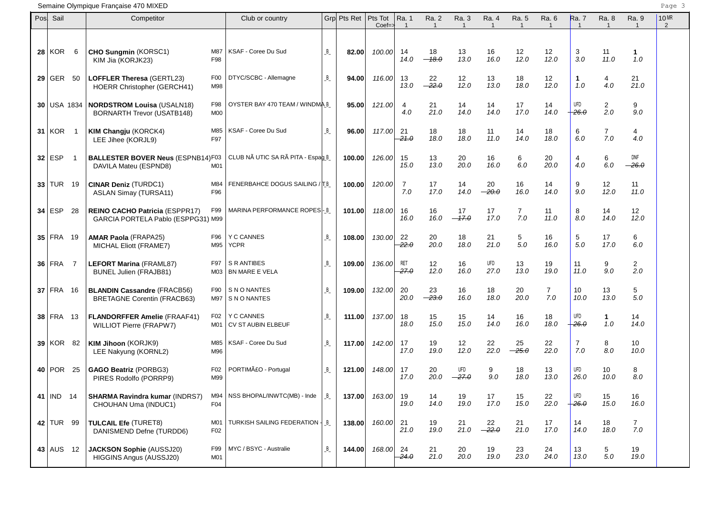## Semaine Olympique Française 470 MIXED Page 3

| Posl | Sail            |     | Competitor                                                               |                        | Club or country                         |         | Grp Pts Ret | Pts Tot<br>$Coef \Rightarrow$ | Ra. 1<br>$\overline{1}$ | Ra. 2<br>-1   | Ra. 3<br>$\overline{1}$ | Ra. 4<br>$\overline{1}$ | Ra. 5         | Ra. 6<br>$\overline{1}$ | Ra. 7<br>$\overline{1}$ | Ra. 8                 | Ra. 9<br>$\overline{1}$ | 10 MR<br>2 |
|------|-----------------|-----|--------------------------------------------------------------------------|------------------------|-----------------------------------------|---------|-------------|-------------------------------|-------------------------|---------------|-------------------------|-------------------------|---------------|-------------------------|-------------------------|-----------------------|-------------------------|------------|
|      | <b>28   KOR</b> | 6   | CHO Sungmin (KORSC1)<br>KIM Jia (KORJK23)                                | M87<br>F98             | KSAF - Coree Du Sud                     | B       | 82.00       | 100.00                        | 14<br>14.0              | 18<br>$-18.0$ | 13<br>13.0              | 16<br>16.0              | 12<br>12.0    | 12<br>12.0              | 3<br>3.0                | 11<br>11.0            | $\mathbf 1$<br>1.0      |            |
|      | $29$ GER 50     |     | LOFFLER Theresa (GERTL23)<br><b>HOERR Christopher (GERCH41)</b>          | F <sub>0</sub><br>M98  | DTYC/SCBC - Allemagne                   | B       | 94.00       | 116.00                        | 13<br>13.0              | 22<br>$-22.0$ | 12<br>12.0              | 13<br>13.0              | 18<br>18.0    | 12<br>12.0              | $\mathbf 1$<br>1.0      | 4<br>4.0              | 21<br>21.0              |            |
|      | $30$ USA 1834   |     | <b>NORDSTROM Louisa (USALN18)</b><br><b>BORNARTH Trevor (USATB148)</b>   | F98<br>M00             | OYSTER BAY 470 TEAM / WINDMA B          |         | 95.00       | 121.00                        | 4<br>4.0                | 21<br>21.0    | 14<br>14.0              | 14<br>14.0              | 17<br>17.0    | 14<br>14.0              | UFD<br>$+26.0$          | $\overline{2}$<br>2.0 | 9<br>9.0                |            |
|      | $31$ KOR        | - 1 | KIM Changju (KORCK4)<br>LEE Jihee (KORJL9)                               | M85<br>F97             | KSAF - Coree Du Sud                     | B       | 96.00       | 117.00                        | 21<br>21.0              | 18<br>18.0    | 18<br>18.0              | 11<br>11.0              | 14<br>14.0    | 18<br>18.0              | 6<br>6.0                | $\overline{7}$<br>7.0 | 4<br>4.0                |            |
|      | $32$ ESP        |     | <b>BALLESTER BOVER Neus (ESPNB14)F03</b><br>DAVILA Mateu (ESPND8)        | M01                    | CLUB NÃ UTIC SA RÃ PITA - Espag B       |         | 100.00      | 126.00                        | 15<br>15.0              | 13<br>13.0    | 20<br>20.0              | 16<br>16.0              | 6<br>6.0      | 20<br>20.0              | 4<br>4.0                | 6<br>6.0              | DNF<br>$-26.0$          |            |
|      | $33$ TUR 19     |     | <b>CINAR Deniz (TURDC1)</b><br><b>ASLAN Simay (TURSA11)</b>              | M84<br>F96             | FENERBAHCE DOGUS SAILING / TB           |         | 100.00      | 120.00                        | 7<br>7.0                | 17<br>17.0    | 14<br>14.0              | 20<br>$-20.0$           | 16<br>16.0    | 14<br>14.0              | 9<br>9.0                | 12<br>12.0            | 11<br>11.0              |            |
|      | $34$ ESP        | 28  | REINO CACHO Patricia (ESPPR17)<br>GARCIA PORTELA Pablo (ESPPG31) M99     | F99                    | MARINA PERFORMANCE ROPES-B              |         | 101.00      | 118.00                        | 16<br>16.0              | 16<br>16.0    | 17<br>$-17.0$           | 17<br>17.0              | 7<br>7.0      | 11<br>11.0              | 8<br>8.0                | 14<br>14.0            | 12<br>12.0              |            |
|      | $35$ FRA 19     |     | <b>AMAR Paola (FRAPA25)</b><br>MICHAL Eliott (FRAME7)                    | F96<br>M95             | <b>Y C CANNES</b><br><b>YCPR</b>        | B       | 108.00      | 130.00                        | 22<br>22.0              | 20<br>20.0    | 18<br>18.0              | 21<br>21.0              | 5<br>5.0      | 16<br>16.0              | 5<br>5.0                | 17<br>17.0            | 6<br>6.0                |            |
|      | $36$ FRA        | 7   | <b>LEFORT Marina (FRAML87)</b><br>BUNEL Julien (FRAJB81)                 | F97<br>M03             | S R ANTIBES<br>BN MARE E VELA           | B       | 109.00      | 136.00                        | <b>RET</b><br>27.0      | 12<br>12.0    | 16<br>16.0              | UFD<br>27.0             | 13<br>13.0    | 19<br>19.0              | 11<br>11.0              | 9<br>9.0              | $\overline{2}$<br>2.0   |            |
|      | $37$ FRA 16     |     | <b>BLANDIN Cassandre (FRACB56)</b><br><b>BRETAGNE Corentin (FRACB63)</b> | F90<br>M97             | S N O NANTES<br><b>SNONANTES</b>        | B       | 109.00      | 132.00                        | 20<br>20.0              | 23<br>$-23.0$ | 16<br>16.0              | 18<br>18.0              | 20<br>20.0    | $\overline{7}$<br>7.0   | 10<br>10.0              | 13<br>13.0            | 5<br>5.0                |            |
|      | 38 FRA 13       |     | <b>FLANDORFFER Amelie (FRAAF41)</b><br><b>WILLIOT Pierre (FRAPW7)</b>    | F02<br>M01             | <b>Y C CANNES</b><br>CV ST AUBIN ELBEUF | B       | 111.00      | 137.00                        | 18<br>18.0              | 15<br>15.0    | 15<br>15.0              | 14<br>14.0              | 16<br>16.0    | 18<br>18.0              | UFD<br>$+26.0$          | $\mathbf{1}$<br>1.0   | 14<br>14.0              |            |
|      | 39 KOR 82       |     | KIM Jihoon (KORJK9)<br>LEE Nakyung (KORNL2)                              | M85<br>M96             | KSAF - Coree Du Sud                     | $B_{-}$ | 117.00      | 142.00                        | 17<br>17.0              | 19<br>19.0    | 12<br>12.0              | 22<br>22.0              | 25<br>$-25.0$ | 22<br>22.0              | $\overline{7}$<br>7.0   | 8<br>8.0              | 10<br>10.0              |            |
|      | 40 POR          | 25  | <b>GAGO Beatriz (PORBG3)</b><br>PIRES Rodolfo (PORRP9)                   | F02<br>M99             | PORTIMãO - Portugal                     | $B_{-}$ | 121.00      | 148.00                        | 17<br>17.0              | 20<br>20.0    | <b>UFD</b><br>$-27.0$   | 9<br>9.0                | 18<br>18.0    | 13<br>13.0              | UFD<br>26.0             | 10<br>10.0            | 8<br>8.0                |            |
|      | 41   IND $14$   |     | <b>SHARMA Ravindra kumar (INDRS7)</b><br>CHOUHAN Uma (INDUC1)            | M94<br>F04             | NSS BHOPAL/INWTC(MB) - Inde             | B       | 137.00      | 163.00                        | 19<br>19.0              | 14<br>14.0    | 19<br>19.0              | $17$<br>17.0            | 15<br>15.0    | 22<br>22.0              | UFD<br>$+26.0$          | 15<br>15.0            | 16<br>16.0              |            |
|      | 42 TUR 99       |     | <b>TULCAIL Efe (TURET8)</b><br>DANISMEND Defne (TURDD6)                  | M01<br>F <sub>02</sub> | TURKISH SAILING FEDERATION   B          |         | 138.00      | 160.00                        | 21<br>21.0              | 19<br>19.0    | 21<br>21.0              | 22<br>$-22.0$           | 21<br>21.0    | 17<br>17.0              | 14<br>14.0              | 18<br>18.0            | $\overline{7}$<br>7.0   |            |
|      | $43$ AUS 12     |     | <b>JACKSON Sophie (AUSSJ20)</b><br>HIGGINS Angus (AUSSJ20)               | F99<br>M01             | MYC / BSYC - Australie                  | $B_{-}$ | 144.00      | 168.00                        | 24<br>$-24.0$           | 21<br>21.0    | 20<br>20.0              | 19<br>19.0              | 23<br>23.0    | 24<br>24.0              | 13<br>13.0              | 5<br>5.0              | 19<br>19.0              |            |